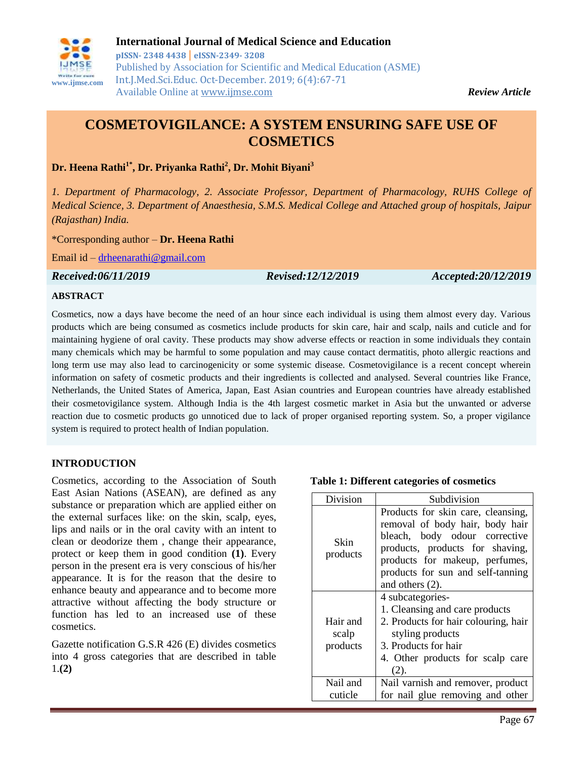

# **COSMETOVIGILANCE: A SYSTEM ENSURING SAFE USE OF COSMETICS**

**Dr. Heena Rathi1\* , Dr. Priyanka Rathi<sup>2</sup> , Dr. Mohit Biyani<sup>3</sup>**

*1. Department of Pharmacology, 2. Associate Professor, Department of Pharmacology, RUHS College of Medical Science, 3. Department of Anaesthesia, S.M.S. Medical College and Attached group of hospitals, Jaipur (Rajasthan) India.*

\*Corresponding author – **Dr. Heena Rathi**

Email id – [drheenarathi@gmail.com](mailto:drheenarathi@gmail.com)

*Received:06/11/2019 Revised:12/12/2019 Accepted:20/12/2019*

#### **ABSTRACT**

Cosmetics, now a days have become the need of an hour since each individual is using them almost every day. Various products which are being consumed as cosmetics include products for skin care, hair and scalp, nails and cuticle and for maintaining hygiene of oral cavity. These products may show adverse effects or reaction in some individuals they contain many chemicals which may be harmful to some population and may cause contact dermatitis, photo allergic reactions and long term use may also lead to carcinogenicity or some systemic disease. Cosmetovigilance is a recent concept wherein information on safety of cosmetic products and their ingredients is collected and analysed. Several countries like France, Netherlands, the United States of America, Japan, East Asian countries and European countries have already established their cosmetovigilance system. Although India is the 4th largest cosmetic market in Asia but the unwanted or adverse reaction due to cosmetic products go unnoticed due to lack of proper organised reporting system. So, a proper vigilance system is required to protect health of Indian population.

#### **INTRODUCTION**

Cosmetics, according to the Association of South East Asian Nations (ASEAN), are defined as any substance or preparation which are applied either on the external surfaces like: on the skin, scalp, eyes, lips and nails or in the oral cavity with an intent to clean or deodorize them , change their appearance, protect or keep them in good condition **(1)**. Every person in the present era is very conscious of his/her appearance. It is for the reason that the desire to enhance beauty and appearance and to become more attractive without affecting the body structure or function has led to an increased use of these cosmetics.

Gazette notification G.S.R 426 (E) divides cosmetics into 4 gross categories that are described in table 1.**(2)**

| Division | Subdivision                              |
|----------|------------------------------------------|
|          | Products for skin care, cleansing,       |
|          | electrical contract removal of body hair |

**Table 1: Different categories of cosmetics**

| Skin<br>products              | r rougers for skin care, creamsing,<br>removal of body hair, body hair<br>bleach, body odour corrective<br>products, products for shaving,<br>products for makeup, perfumes,<br>products for sun and self-tanning<br>and others $(2)$ . |
|-------------------------------|-----------------------------------------------------------------------------------------------------------------------------------------------------------------------------------------------------------------------------------------|
| Hair and<br>scalp<br>products | 4 subcategories-<br>1. Cleansing and care products<br>2. Products for hair colouring, hair<br>styling products<br>3. Products for hair<br>4. Other products for scalp care<br>(2).                                                      |
| Nail and<br>cuticle           | Nail varnish and remover, product<br>for nail glue removing and other                                                                                                                                                                   |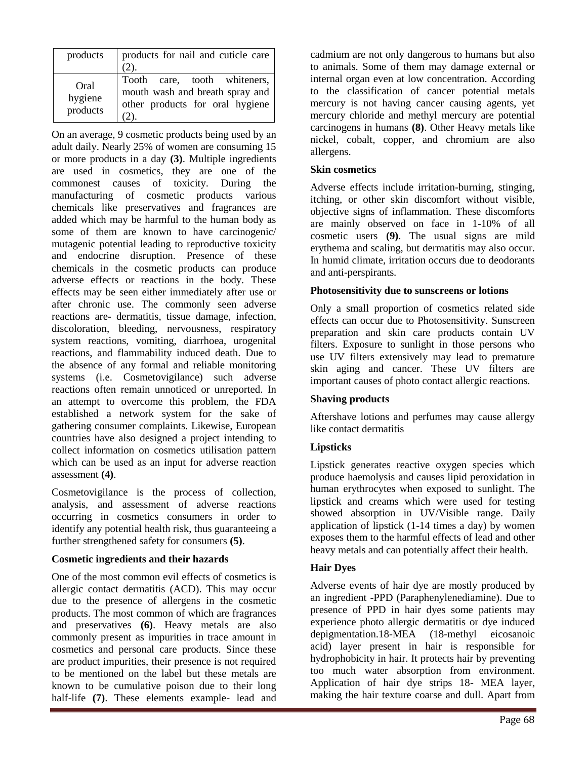| products                    | products for nail and cuticle care<br>(2).                                                         |
|-----------------------------|----------------------------------------------------------------------------------------------------|
| Oral<br>hygiene<br>products | Tooth care, tooth whiteners,<br>mouth wash and breath spray and<br>other products for oral hygiene |

On an average, 9 cosmetic products being used by an adult daily. Nearly 25% of women are consuming 15 or more products in a day **(3)**. Multiple ingredients are used in cosmetics, they are one of the commonest causes of toxicity. During the manufacturing of cosmetic products various chemicals like preservatives and fragrances are added which may be harmful to the human body as some of them are known to have carcinogenic/ mutagenic potential leading to reproductive toxicity and endocrine disruption. Presence of these chemicals in the cosmetic products can produce adverse effects or reactions in the body. These effects may be seen either immediately after use or after chronic use. The commonly seen adverse reactions are- dermatitis, tissue damage, infection, discoloration, bleeding, nervousness, respiratory system reactions, vomiting, diarrhoea, urogenital reactions, and flammability induced death. Due to the absence of any formal and reliable monitoring systems (i.e. Cosmetovigilance) such adverse reactions often remain unnoticed or unreported. In an attempt to overcome this problem, the FDA established a network system for the sake of gathering consumer complaints. Likewise, European countries have also designed a project intending to collect information on cosmetics utilisation pattern which can be used as an input for adverse reaction assessment **(4)**.

Cosmetovigilance is the process of collection, analysis, and assessment of adverse reactions occurring in cosmetics consumers in order to identify any potential health risk, thus guaranteeing a further strengthened safety for consumers **(5)**.

## **Cosmetic ingredients and their hazards**

One of the most common evil effects of cosmetics is allergic contact dermatitis (ACD). This may occur due to the presence of allergens in the cosmetic products. The most common of which are fragrances and preservatives **(6)**. Heavy metals are also commonly present as impurities in trace amount in cosmetics and personal care products. Since these are product impurities, their presence is not required to be mentioned on the label but these metals are known to be cumulative poison due to their long half-life **(7)**. These elements example- lead and

cadmium are not only dangerous to humans but also to animals. Some of them may damage external or internal organ even at low concentration. According to the classification of cancer potential metals mercury is not having cancer causing agents, yet mercury chloride and methyl mercury are potential carcinogens in humans **(8)**. Other Heavy metals like nickel, cobalt, copper, and chromium are also allergens.

## **Skin cosmetics**

Adverse effects include irritation-burning, stinging, itching, or other skin discomfort without visible, objective signs of inflammation. These discomforts are mainly observed on face in 1-10% of all cosmetic users **(9)**. The usual signs are mild erythema and scaling, but dermatitis may also occur. In humid climate, irritation occurs due to deodorants and anti-perspirants.

## **Photosensitivity due to sunscreens or lotions**

Only a small proportion of cosmetics related side effects can occur due to Photosensitivity. Sunscreen preparation and skin care products contain UV filters. Exposure to sunlight in those persons who use UV filters extensively may lead to premature skin aging and cancer. These UV filters are important causes of photo contact allergic reactions.

## **Shaving products**

Aftershave lotions and perfumes may cause allergy like contact dermatitis

## **Lipsticks**

Lipstick generates reactive oxygen species which produce haemolysis and causes lipid peroxidation in human erythrocytes when exposed to sunlight. The lipstick and creams which were used for testing showed absorption in UV/Visible range. Daily application of lipstick (1-14 times a day) by women exposes them to the harmful effects of lead and other heavy metals and can potentially affect their health.

## **Hair Dyes**

Adverse events of hair dye are mostly produced by an ingredient -PPD (Paraphenylenediamine). Due to presence of PPD in hair dyes some patients may experience photo allergic dermatitis or dye induced depigmentation.18-MEA (18-methyl eicosanoic acid) layer present in hair is responsible for hydrophobicity in hair. It protects hair by preventing too much water absorption from environment. Application of hair dye strips 18- MEA layer, making the hair texture coarse and dull. Apart from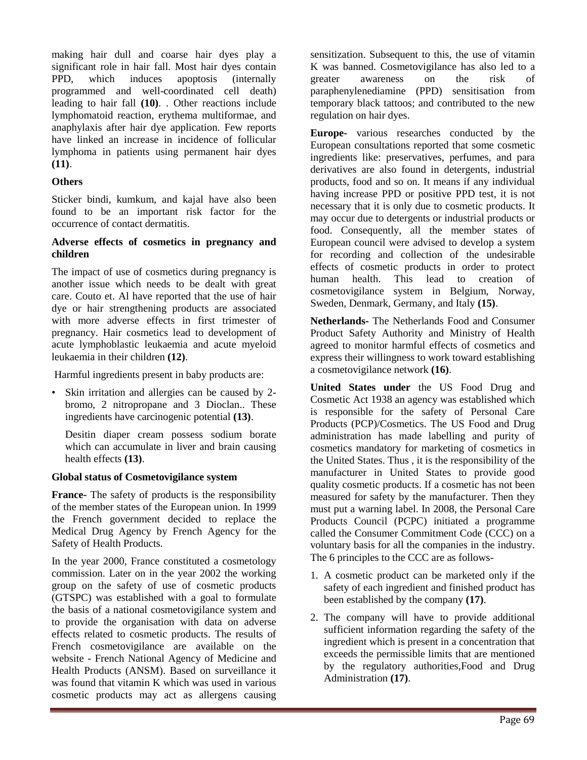making hair dull and coarse hair dyes play a significant role in hair fall. Most hair dyes contain PPD, which induces apoptosis (internally programmed and well-coordinated cell death) leading to hair fall **(10)**. . Other reactions include lymphomatoid reaction, erythema multiformae, and anaphylaxis after hair dye application. Few reports have linked an increase in incidence of follicular lymphoma in patients using permanent hair dyes **(11)**.

#### **Others**

Sticker bindi, kumkum, and kajal have also been found to be an important risk factor for the occurrence of contact dermatitis.

#### **Adverse effects of cosmetics in pregnancy and children**

The impact of use of cosmetics during pregnancy is another issue which needs to be dealt with great care. Couto et. Al have reported that the use of hair dye or hair strengthening products are associated with more adverse effects in first trimester of pregnancy. Hair cosmetics lead to development of acute lymphoblastic leukaemia and acute myeloid leukaemia in their children **(12)**.

Harmful ingredients present in baby products are:

• Skin irritation and allergies can be caused by 2 bromo, 2 nitropropane and 3 Dioclan.. These ingredients have carcinogenic potential **(13)**.

Desitin diaper cream possess sodium borate which can accumulate in liver and brain causing health effects **(13)**.

#### **Global status of Cosmetovigilance system**

**France-** The safety of products is the responsibility of the member states of the European union. In 1999 the French government decided to replace the Medical Drug Agency by French Agency for the Safety of Health Products.

In the year 2000, France constituted a cosmetology commission. Later on in the year 2002 the working group on the safety of use of cosmetic products (GTSPC) was established with a goal to formulate the basis of a national cosmetovigilance system and to provide the organisation with data on adverse effects related to cosmetic products. The results of French cosmetovigilance are available on the website - French National Agency of Medicine and Health Products (ANSM). Based on surveillance it was found that vitamin K which was used in various cosmetic products may act as allergens causing

sensitization. Subsequent to this, the use of vitamin K was banned. Cosmetovigilance has also led to a greater awareness on the risk of paraphenylenediamine (PPD) sensitisation from temporary black tattoos; and contributed to the new regulation on hair dyes.

**Europe-** various researches conducted by the European consultations reported that some cosmetic ingredients like: preservatives, perfumes, and para derivatives are also found in detergents, industrial products, food and so on. It means if any individual having increase PPD or positive PPD test, it is not necessary that it is only due to cosmetic products. It may occur due to detergents or industrial products or food. Consequently, all the member states of European council were advised to develop a system for recording and collection of the undesirable effects of cosmetic products in order to protect human health. This lead to creation of cosmetovigilance system in Belgium, Norway, Sweden, Denmark, Germany, and Italy **(15)**.

**Netherlands-** The Netherlands Food and Consumer Product Safety Authority and Ministry of Health agreed to monitor harmful effects of cosmetics and express their willingness to work toward establishing a cosmetovigilance network **(16)**.

**United States under** the US Food Drug and Cosmetic Act 1938 an agency was established which is responsible for the safety of Personal Care Products (PCP)/Cosmetics. The US Food and Drug administration has made labelling and purity of cosmetics mandatory for marketing of cosmetics in the United States. Thus , it is the responsibility of the manufacturer in United States to provide good quality cosmetic products. If a cosmetic has not been measured for safety by the manufacturer. Then they must put a warning label. In 2008, the Personal Care Products Council (PCPC) initiated a programme called the Consumer Commitment Code (CCC) on a voluntary basis for all the companies in the industry. The 6 principles to the CCC are as follows-

- 1. A cosmetic product can be marketed only if the safety of each ingredient and finished product has been established by the company **(17)**.
- 2. The company will have to provide additional sufficient information regarding the safety of the ingredient which is present in a concentration that exceeds the permissible limits that are mentioned by the regulatory authorities,Food and Drug Administration **(17)**.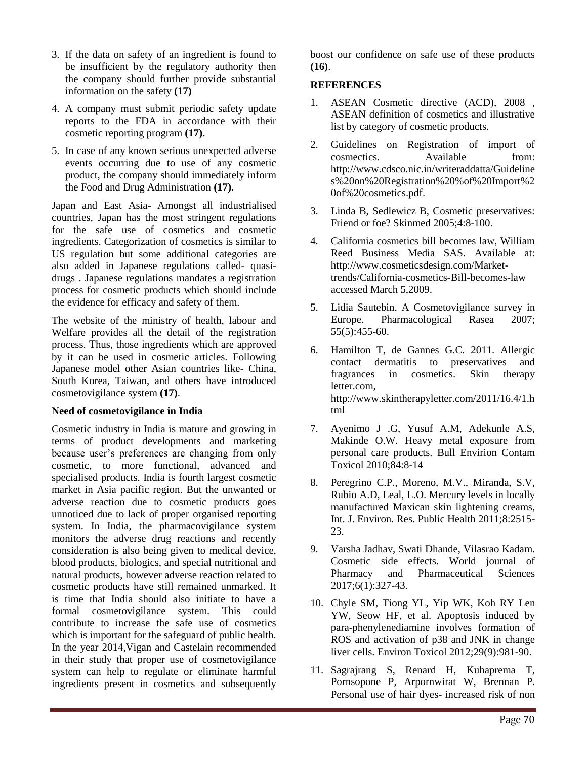- 3. If the data on safety of an ingredient is found to be insufficient by the regulatory authority then the company should further provide substantial information on the safety **(17)**
- 4. A company must submit periodic safety update reports to the FDA in accordance with their cosmetic reporting program **(17)**.
- 5. In case of any known serious unexpected adverse events occurring due to use of any cosmetic product, the company should immediately inform the Food and Drug Administration **(17)**.

Japan and East Asia- Amongst all industrialised countries, Japan has the most stringent regulations for the safe use of cosmetics and cosmetic ingredients. Categorization of cosmetics is similar to US regulation but some additional categories are also added in Japanese regulations called- quasidrugs . Japanese regulations mandates a registration process for cosmetic products which should include the evidence for efficacy and safety of them.

The website of the ministry of health, labour and Welfare provides all the detail of the registration process. Thus, those ingredients which are approved by it can be used in cosmetic articles. Following Japanese model other Asian countries like- China, South Korea, Taiwan, and others have introduced cosmetovigilance system **(17)**.

#### **Need of cosmetovigilance in India**

Cosmetic industry in India is mature and growing in terms of product developments and marketing because user's preferences are changing from only cosmetic, to more functional, advanced and specialised products. India is fourth largest cosmetic market in Asia pacific region. But the unwanted or adverse reaction due to cosmetic products goes unnoticed due to lack of proper organised reporting system. In India, the pharmacovigilance system monitors the adverse drug reactions and recently consideration is also being given to medical device, blood products, biologics, and special nutritional and natural products, however adverse reaction related to cosmetic products have still remained unmarked. It is time that India should also initiate to have a formal cosmetovigilance system. This could contribute to increase the safe use of cosmetics which is important for the safeguard of public health. In the year 2014,Vigan and Castelain recommended in their study that proper use of cosmetovigilance system can help to regulate or eliminate harmful ingredients present in cosmetics and subsequently

boost our confidence on safe use of these products **(16)**.

#### **REFERENCES**

- 1. ASEAN Cosmetic directive (ACD), 2008 , ASEAN definition of cosmetics and illustrative list by category of cosmetic products.
- 2. Guidelines on Registration of import of cosmectics. Available from: http://www.cdsco.nic.in/writeraddatta/Guideline s%20on%20Registration%20%of%20Import%2 0of%20cosmetics.pdf.
- 3. Linda B, Sedlewicz B, Cosmetic preservatives: Friend or foe? Skinmed 2005;4:8-100.
- 4. California cosmetics bill becomes law, William Reed Business Media SAS. Available at: http://www.cosmeticsdesign.com/Markettrends/California-cosmetics-Bill-becomes-law accessed March 5,2009.
- 5. Lidia Sautebin. A Cosmetovigilance survey in Europe. Pharmacological Rasea 2007; 55(5):455-60.
- 6. Hamilton T, de Gannes G.C. 2011. Allergic contact dermatitis to preservatives and fragrances in cosmetics. Skin therapy letter.com, http://www.skintherapyletter.com/2011/16.4/1.h tml
- 7. Ayenimo J .G, Yusuf A.M, Adekunle A.S, Makinde O.W. Heavy metal exposure from personal care products. Bull Envirion Contam Toxicol 2010;84:8-14
- 8. Peregrino C.P., Moreno, M.V., Miranda, S.V, Rubio A.D, Leal, L.O. Mercury levels in locally manufactured Maxican skin lightening creams, Int. J. Environ. Res. Public Health 2011;8:2515- 23.
- 9. Varsha Jadhav, Swati Dhande, Vilasrao Kadam. Cosmetic side effects. World journal of Pharmacy and Pharmaceutical Sciences 2017;6(1):327-43.
- 10. Chyle SM, Tiong YL, Yip WK, Koh RY Len YW, Seow HF, et al. Apoptosis induced by para-phenylenediamine involves formation of ROS and activation of p38 and JNK in change liver cells. Environ Toxicol 2012;29(9):981-90.
- 11. Sagrajrang S, Renard H, Kuhaprema T, Pornsopone P, Arpornwirat W, Brennan P. Personal use of hair dyes- increased risk of non